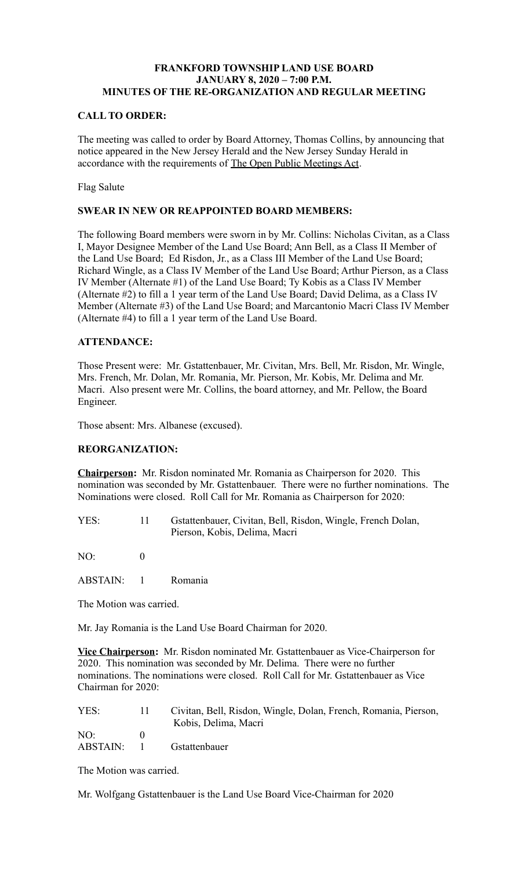# **FRANKFORD TOWNSHIP LAND USE BOARD JANUARY 8, 2020 – 7:00 P.M. MINUTES OF THE RE-ORGANIZATION AND REGULAR MEETING**

### **CALL TO ORDER:**

The meeting was called to order by Board Attorney, Thomas Collins, by announcing that notice appeared in the New Jersey Herald and the New Jersey Sunday Herald in accordance with the requirements of The Open Public Meetings Act.

Flag Salute

#### **SWEAR IN NEW OR REAPPOINTED BOARD MEMBERS:**

The following Board members were sworn in by Mr. Collins: Nicholas Civitan, as a Class I, Mayor Designee Member of the Land Use Board; Ann Bell, as a Class II Member of the Land Use Board; Ed Risdon, Jr., as a Class III Member of the Land Use Board; Richard Wingle, as a Class IV Member of the Land Use Board; Arthur Pierson, as a Class IV Member (Alternate #1) of the Land Use Board; Ty Kobis as a Class IV Member (Alternate #2) to fill a 1 year term of the Land Use Board; David Delima, as a Class IV Member (Alternate #3) of the Land Use Board; and Marcantonio Macri Class IV Member (Alternate #4) to fill a 1 year term of the Land Use Board.

# **ATTENDANCE:**

Those Present were: Mr. Gstattenbauer, Mr. Civitan, Mrs. Bell, Mr. Risdon, Mr. Wingle, Mrs. French, Mr. Dolan, Mr. Romania, Mr. Pierson, Mr. Kobis, Mr. Delima and Mr. Macri. Also present were Mr. Collins, the board attorney, and Mr. Pellow, the Board Engineer.

Those absent: Mrs. Albanese (excused).

# **REORGANIZATION:**

**Chairperson:** Mr. Risdon nominated Mr. Romania as Chairperson for 2020. This nomination was seconded by Mr. Gstattenbauer. There were no further nominations. The Nominations were closed. Roll Call for Mr. Romania as Chairperson for 2020:

YES: 11 Gstattenbauer, Civitan, Bell, Risdon, Wingle, French Dolan, Pierson, Kobis, Delima, Macri

NO: 0

ABSTAIN: 1 Romania

The Motion was carried.

Mr. Jay Romania is the Land Use Board Chairman for 2020.

**Vice Chairperson:** Mr. Risdon nominated Mr. Gstattenbauer as Vice-Chairperson for 2020. This nomination was seconded by Mr. Delima. There were no further nominations. The nominations were closed. Roll Call for Mr. Gstattenbauer as Vice Chairman for 2020:

| YES:            | Civitan, Bell, Risdon, Wingle, Dolan, French, Romania, Pierson, |
|-----------------|-----------------------------------------------------------------|
|                 | Kobis, Delima, Macri                                            |
| NO:             |                                                                 |
| <b>ABSTAIN:</b> | <b>G</b> stattenbauer                                           |

The Motion was carried.

Mr. Wolfgang Gstattenbauer is the Land Use Board Vice-Chairman for 2020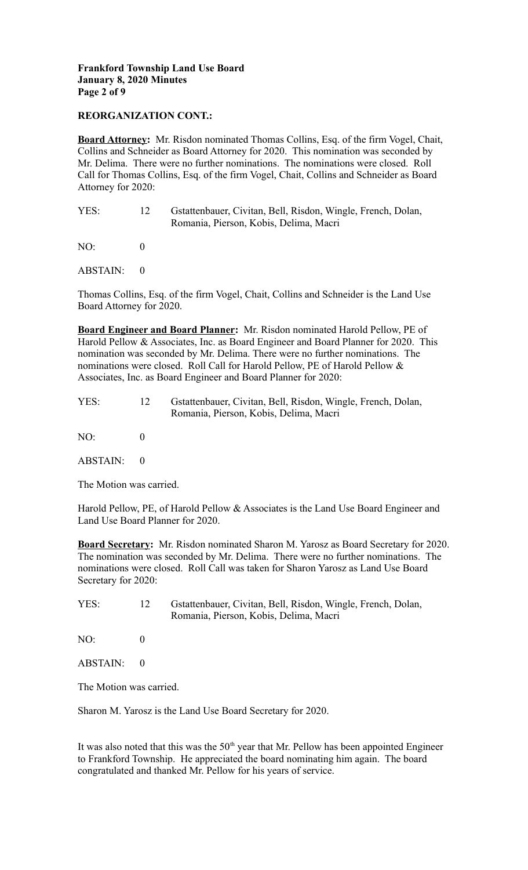### **Frankford Township Land Use Board January 8, 2020 Minutes Page 2 of 9**

### **REORGANIZATION CONT.:**

**Board Attorney:** Mr. Risdon nominated Thomas Collins, Esq. of the firm Vogel, Chait, Collins and Schneider as Board Attorney for 2020. This nomination was seconded by Mr. Delima. There were no further nominations. The nominations were closed. Roll Call for Thomas Collins, Esq. of the firm Vogel, Chait, Collins and Schneider as Board Attorney for 2020:

| YES: | Gstattenbauer, Civitan, Bell, Risdon, Wingle, French, Dolan, |
|------|--------------------------------------------------------------|
|      | Romania, Pierson, Kobis, Delima, Macri                       |

 $NO: 0$ 

ABSTAIN: 0

Thomas Collins, Esq. of the firm Vogel, Chait, Collins and Schneider is the Land Use Board Attorney for 2020.

**Board Engineer and Board Planner:** Mr. Risdon nominated Harold Pellow, PE of Harold Pellow & Associates, Inc. as Board Engineer and Board Planner for 2020. This nomination was seconded by Mr. Delima. There were no further nominations. The nominations were closed. Roll Call for Harold Pellow, PE of Harold Pellow & Associates, Inc. as Board Engineer and Board Planner for 2020:

| YES: | Gstattenbauer, Civitan, Bell, Risdon, Wingle, French, Dolan, |
|------|--------------------------------------------------------------|
|      | Romania, Pierson, Kobis, Delima, Macri                       |

NO: 0

ABSTAIN: 0

The Motion was carried.

Harold Pellow, PE, of Harold Pellow & Associates is the Land Use Board Engineer and Land Use Board Planner for 2020.

**Board Secretary:** Mr. Risdon nominated Sharon M. Yarosz as Board Secretary for 2020. The nomination was seconded by Mr. Delima. There were no further nominations. The nominations were closed. Roll Call was taken for Sharon Yarosz as Land Use Board Secretary for 2020:

YES: 12 Gstattenbauer, Civitan, Bell, Risdon, Wingle, French, Dolan, Romania, Pierson, Kobis, Delima, Macri

 $NO<sup>2</sup>$  0

 $ABSTAIN: 0$ 

The Motion was carried.

Sharon M. Yarosz is the Land Use Board Secretary for 2020.

It was also noted that this was the  $50<sup>th</sup>$  year that Mr. Pellow has been appointed Engineer to Frankford Township. He appreciated the board nominating him again. The board congratulated and thanked Mr. Pellow for his years of service.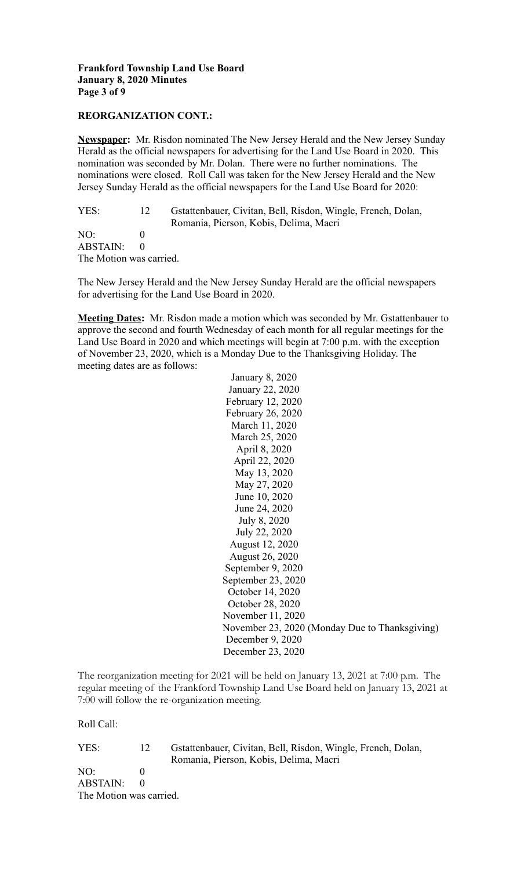### **Frankford Township Land Use Board January 8, 2020 Minutes Page 3 of 9**

#### **REORGANIZATION CONT.:**

**Newspaper:** Mr. Risdon nominated The New Jersey Herald and the New Jersey Sunday Herald as the official newspapers for advertising for the Land Use Board in 2020. This nomination was seconded by Mr. Dolan. There were no further nominations. The nominations were closed. Roll Call was taken for the New Jersey Herald and the New Jersey Sunday Herald as the official newspapers for the Land Use Board for 2020:

YES: 12 Gstattenbauer, Civitan, Bell, Risdon, Wingle, French, Dolan, Romania, Pierson, Kobis, Delima, Macri  $NO: 0$ ABSTAIN: 0 The Motion was carried.

The New Jersey Herald and the New Jersey Sunday Herald are the official newspapers for advertising for the Land Use Board in 2020.

**Meeting Dates:** Mr. Risdon made a motion which was seconded by Mr. Gstattenbauer to approve the second and fourth Wednesday of each month for all regular meetings for the Land Use Board in 2020 and which meetings will begin at 7:00 p.m. with the exception of November 23, 2020, which is a Monday Due to the Thanksgiving Holiday. The meeting dates are as follows:

> January 8, 2020 January 22, 2020 February 12, 2020 February 26, 2020 March 11, 2020 March 25, 2020 April 8, 2020 April 22, 2020 May 13, 2020 May 27, 2020 June 10, 2020 June 24, 2020 July 8, 2020 July 22, 2020 August 12, 2020 August 26, 2020 September 9, 2020 September 23, 2020 October 14, 2020 October 28, 2020 November 11, 2020 November 23, 2020 (Monday Due to Thanksgiving) December 9, 2020 December 23, 2020

The reorganization meeting for 2021 will be held on January 13, 2021 at 7:00 p.m. The regular meeting of the Frankford Township Land Use Board held on January 13, 2021 at 7:00 will follow the re-organization meeting.

Roll Call:

| YES:                    | 12        | Gstattenbauer, Civitan, Bell, Risdon, Wingle, French, Dolan, |
|-------------------------|-----------|--------------------------------------------------------------|
|                         |           | Romania, Pierson, Kobis, Delima, Macri                       |
| NO:                     |           |                                                              |
| ABSTAIN:                | $\bigcap$ |                                                              |
| The Motion was carried. |           |                                                              |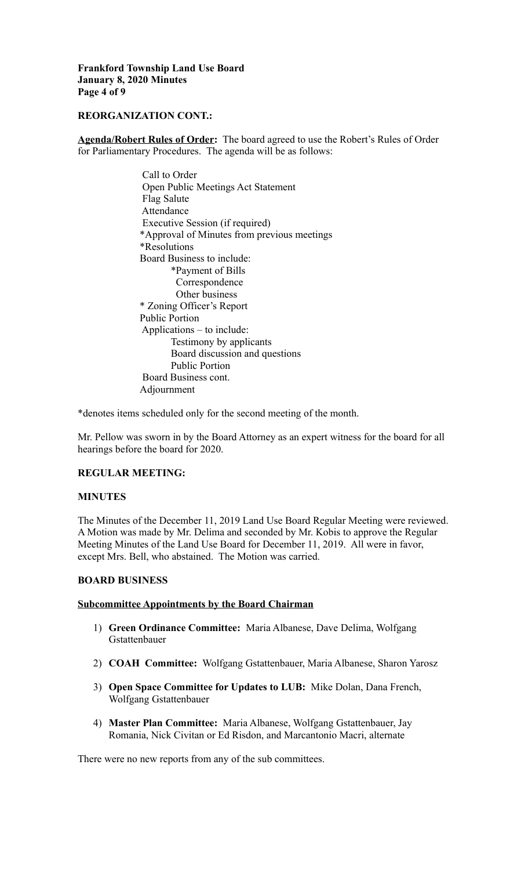**Frankford Township Land Use Board January 8, 2020 Minutes Page 4 of 9**

#### **REORGANIZATION CONT.:**

**Agenda/Robert Rules of Order:** The board agreed to use the Robert's Rules of Order for Parliamentary Procedures. The agenda will be as follows:

> Call to Order Open Public Meetings Act Statement Flag Salute Attendance Executive Session (if required) \*Approval of Minutes from previous meetings \*Resolutions Board Business to include: \*Payment of Bills Correspondence Other business \* Zoning Officer's Report Public Portion Applications – to include: Testimony by applicants Board discussion and questions Public Portion Board Business cont. Adjournment

\*denotes items scheduled only for the second meeting of the month.

Mr. Pellow was sworn in by the Board Attorney as an expert witness for the board for all hearings before the board for 2020.

# **REGULAR MEETING:**

#### **MINUTES**

The Minutes of the December 11, 2019 Land Use Board Regular Meeting were reviewed. A Motion was made by Mr. Delima and seconded by Mr. Kobis to approve the Regular Meeting Minutes of the Land Use Board for December 11, 2019. All were in favor, except Mrs. Bell, who abstained. The Motion was carried.

#### **BOARD BUSINESS**

#### **Subcommittee Appointments by the Board Chairman**

- 1) **Green Ordinance Committee:** Maria Albanese, Dave Delima, Wolfgang Gstattenbauer
- 2) **COAH Committee:** Wolfgang Gstattenbauer, Maria Albanese, Sharon Yarosz
- 3) **Open Space Committee for Updates to LUB:** Mike Dolan, Dana French, Wolfgang Gstattenbauer
- 4) **Master Plan Committee:** Maria Albanese, Wolfgang Gstattenbauer, Jay Romania, Nick Civitan or Ed Risdon, and Marcantonio Macri, alternate

There were no new reports from any of the sub committees.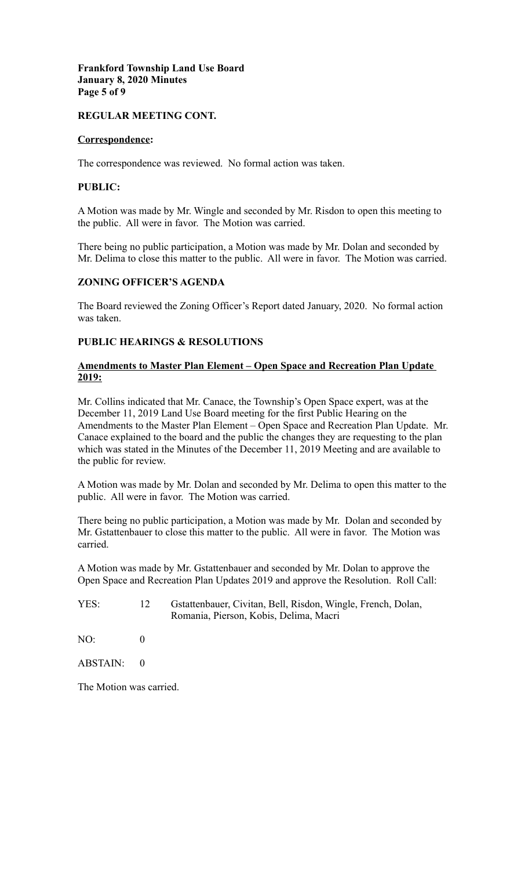### **Frankford Township Land Use Board January 8, 2020 Minutes Page 5 of 9**

# **REGULAR MEETING CONT.**

### **Correspondence:**

The correspondence was reviewed. No formal action was taken.

#### **PUBLIC:**

A Motion was made by Mr. Wingle and seconded by Mr. Risdon to open this meeting to the public. All were in favor. The Motion was carried.

There being no public participation, a Motion was made by Mr. Dolan and seconded by Mr. Delima to close this matter to the public. All were in favor. The Motion was carried.

# **ZONING OFFICER'S AGENDA**

The Board reviewed the Zoning Officer's Report dated January, 2020. No formal action was taken.

# **PUBLIC HEARINGS & RESOLUTIONS**

# **Amendments to Master Plan Element – Open Space and Recreation Plan Update 2019:**

Mr. Collins indicated that Mr. Canace, the Township's Open Space expert, was at the December 11, 2019 Land Use Board meeting for the first Public Hearing on the Amendments to the Master Plan Element – Open Space and Recreation Plan Update. Mr. Canace explained to the board and the public the changes they are requesting to the plan which was stated in the Minutes of the December 11, 2019 Meeting and are available to the public for review.

A Motion was made by Mr. Dolan and seconded by Mr. Delima to open this matter to the public. All were in favor. The Motion was carried.

There being no public participation, a Motion was made by Mr. Dolan and seconded by Mr. Gstattenbauer to close this matter to the public. All were in favor. The Motion was carried.

A Motion was made by Mr. Gstattenbauer and seconded by Mr. Dolan to approve the Open Space and Recreation Plan Updates 2019 and approve the Resolution. Roll Call:

YES: 12 Gstattenbauer, Civitan, Bell, Risdon, Wingle, French, Dolan, Romania, Pierson, Kobis, Delima, Macri

 $NO<sup>2</sup>$  0

 $ABSTAIN: 0$ 

The Motion was carried.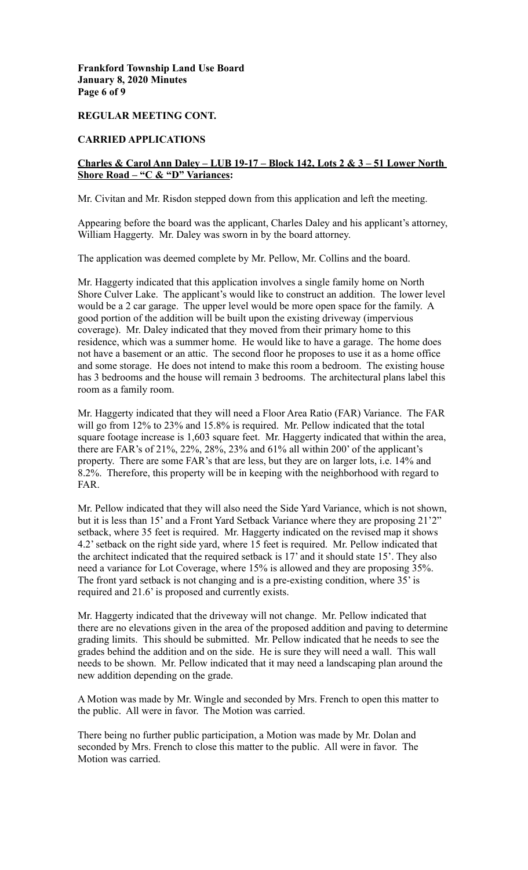### **Frankford Township Land Use Board January 8, 2020 Minutes Page 6 of 9**

### **REGULAR MEETING CONT.**

#### **CARRIED APPLICATIONS**

# **Charles & Carol Ann Daley – LUB 19-17 – Block 142, Lots 2 & 3 – 51 Lower North Shore Road – "C & "D" Variances:**

Mr. Civitan and Mr. Risdon stepped down from this application and left the meeting.

Appearing before the board was the applicant, Charles Daley and his applicant's attorney, William Haggerty. Mr. Daley was sworn in by the board attorney.

The application was deemed complete by Mr. Pellow, Mr. Collins and the board.

Mr. Haggerty indicated that this application involves a single family home on North Shore Culver Lake. The applicant's would like to construct an addition. The lower level would be a 2 car garage. The upper level would be more open space for the family. A good portion of the addition will be built upon the existing driveway (impervious coverage). Mr. Daley indicated that they moved from their primary home to this residence, which was a summer home. He would like to have a garage. The home does not have a basement or an attic. The second floor he proposes to use it as a home office and some storage. He does not intend to make this room a bedroom. The existing house has 3 bedrooms and the house will remain 3 bedrooms. The architectural plans label this room as a family room.

Mr. Haggerty indicated that they will need a Floor Area Ratio (FAR) Variance. The FAR will go from 12% to 23% and 15.8% is required. Mr. Pellow indicated that the total square footage increase is 1,603 square feet. Mr. Haggerty indicated that within the area, there are FAR's of 21%, 22%, 28%, 23% and 61% all within 200' of the applicant's property. There are some FAR's that are less, but they are on larger lots, i.e. 14% and 8.2%. Therefore, this property will be in keeping with the neighborhood with regard to FAR.

Mr. Pellow indicated that they will also need the Side Yard Variance, which is not shown, but it is less than 15' and a Front Yard Setback Variance where they are proposing 21'2" setback, where 35 feet is required. Mr. Haggerty indicated on the revised map it shows 4.2' setback on the right side yard, where 15 feet is required. Mr. Pellow indicated that the architect indicated that the required setback is 17' and it should state 15'. They also need a variance for Lot Coverage, where 15% is allowed and they are proposing 35%. The front yard setback is not changing and is a pre-existing condition, where 35' is required and 21.6' is proposed and currently exists.

Mr. Haggerty indicated that the driveway will not change. Mr. Pellow indicated that there are no elevations given in the area of the proposed addition and paving to determine grading limits. This should be submitted. Mr. Pellow indicated that he needs to see the grades behind the addition and on the side. He is sure they will need a wall. This wall needs to be shown. Mr. Pellow indicated that it may need a landscaping plan around the new addition depending on the grade.

A Motion was made by Mr. Wingle and seconded by Mrs. French to open this matter to the public. All were in favor. The Motion was carried.

There being no further public participation, a Motion was made by Mr. Dolan and seconded by Mrs. French to close this matter to the public. All were in favor. The Motion was carried.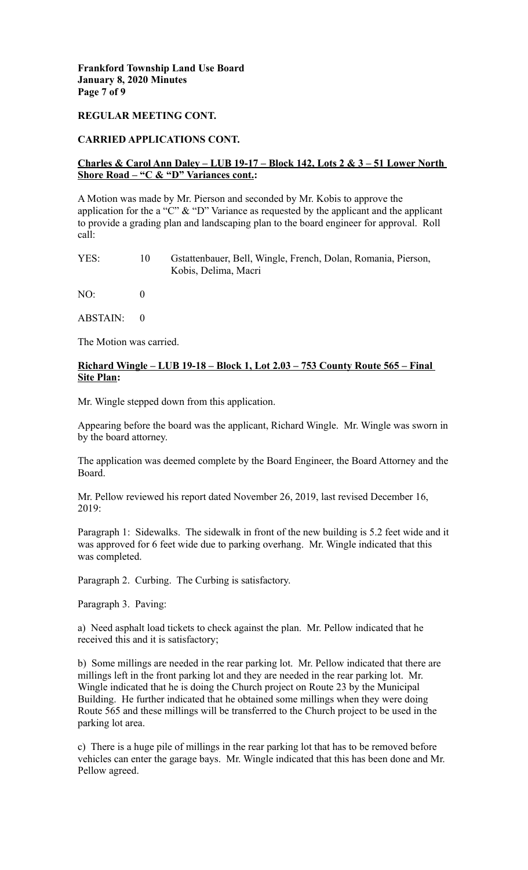## **Frankford Township Land Use Board January 8, 2020 Minutes Page 7 of 9**

### **REGULAR MEETING CONT.**

### **CARRIED APPLICATIONS CONT.**

# **Charles & Carol Ann Daley – LUB 19-17 – Block 142, Lots 2 & 3 – 51 Lower North Shore Road – "C & "D" Variances cont.:**

A Motion was made by Mr. Pierson and seconded by Mr. Kobis to approve the application for the a "C"  $\&$  "D" Variance as requested by the applicant and the applicant to provide a grading plan and landscaping plan to the board engineer for approval. Roll call:

| YES: | Gstattenbauer, Bell, Wingle, French, Dolan, Romania, Pierson, |  |  |  |
|------|---------------------------------------------------------------|--|--|--|
|      | Kobis, Delima, Macri                                          |  |  |  |

 $NO<sup>2</sup>$  0

ABSTAIN: 0

The Motion was carried.

# **Richard Wingle – LUB 19-18 – Block 1, Lot 2.03 – 753 County Route 565 – Final Site Plan:**

Mr. Wingle stepped down from this application.

Appearing before the board was the applicant, Richard Wingle. Mr. Wingle was sworn in by the board attorney.

The application was deemed complete by the Board Engineer, the Board Attorney and the Board.

Mr. Pellow reviewed his report dated November 26, 2019, last revised December 16,  $2019$ 

Paragraph 1: Sidewalks. The sidewalk in front of the new building is 5.2 feet wide and it was approved for 6 feet wide due to parking overhang. Mr. Wingle indicated that this was completed.

Paragraph 2. Curbing. The Curbing is satisfactory.

Paragraph 3. Paving:

a) Need asphalt load tickets to check against the plan. Mr. Pellow indicated that he received this and it is satisfactory;

b) Some millings are needed in the rear parking lot. Mr. Pellow indicated that there are millings left in the front parking lot and they are needed in the rear parking lot. Mr. Wingle indicated that he is doing the Church project on Route 23 by the Municipal Building. He further indicated that he obtained some millings when they were doing Route 565 and these millings will be transferred to the Church project to be used in the parking lot area.

c) There is a huge pile of millings in the rear parking lot that has to be removed before vehicles can enter the garage bays. Mr. Wingle indicated that this has been done and Mr. Pellow agreed.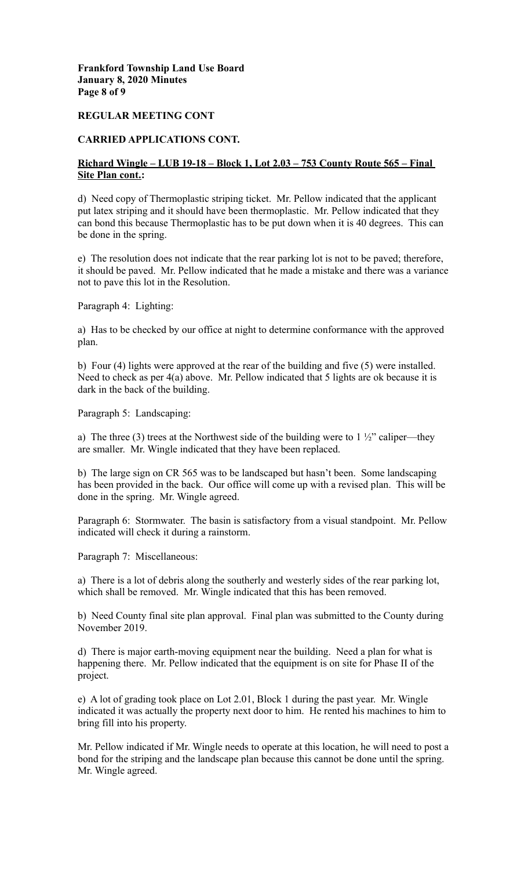**Frankford Township Land Use Board January 8, 2020 Minutes Page 8 of 9**

#### **REGULAR MEETING CONT**

### **CARRIED APPLICATIONS CONT.**

# **Richard Wingle – LUB 19-18 – Block 1, Lot 2.03 – 753 County Route 565 – Final Site Plan cont.:**

d) Need copy of Thermoplastic striping ticket. Mr. Pellow indicated that the applicant put latex striping and it should have been thermoplastic. Mr. Pellow indicated that they can bond this because Thermoplastic has to be put down when it is 40 degrees. This can be done in the spring.

e) The resolution does not indicate that the rear parking lot is not to be paved; therefore, it should be paved. Mr. Pellow indicated that he made a mistake and there was a variance not to pave this lot in the Resolution.

Paragraph 4: Lighting:

a) Has to be checked by our office at night to determine conformance with the approved plan.

b) Four (4) lights were approved at the rear of the building and five (5) were installed. Need to check as per 4(a) above. Mr. Pellow indicated that 5 lights are ok because it is dark in the back of the building.

Paragraph 5: Landscaping:

a) The three (3) trees at the Northwest side of the building were to  $1\frac{1}{2}$  caliper—they are smaller. Mr. Wingle indicated that they have been replaced.

b) The large sign on CR 565 was to be landscaped but hasn't been. Some landscaping has been provided in the back. Our office will come up with a revised plan. This will be done in the spring. Mr. Wingle agreed.

Paragraph 6: Stormwater. The basin is satisfactory from a visual standpoint. Mr. Pellow indicated will check it during a rainstorm.

Paragraph 7: Miscellaneous:

a) There is a lot of debris along the southerly and westerly sides of the rear parking lot, which shall be removed. Mr. Wingle indicated that this has been removed.

b) Need County final site plan approval. Final plan was submitted to the County during November 2019.

d) There is major earth-moving equipment near the building. Need a plan for what is happening there. Mr. Pellow indicated that the equipment is on site for Phase II of the project.

e) A lot of grading took place on Lot 2.01, Block 1 during the past year. Mr. Wingle indicated it was actually the property next door to him. He rented his machines to him to bring fill into his property.

Mr. Pellow indicated if Mr. Wingle needs to operate at this location, he will need to post a bond for the striping and the landscape plan because this cannot be done until the spring. Mr. Wingle agreed.